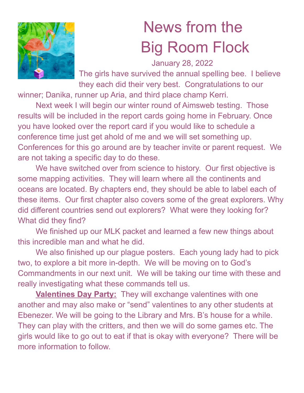

## News from the Big Room Flock

January 28, 2022

The girls have survived the annual spelling bee. I believe they each did their very best. Congratulations to our

winner; Danika, runner up Aria, and third place champ Kerri.

Next week I will begin our winter round of Aimsweb testing. Those results will be included in the report cards going home in February. Once you have looked over the report card if you would like to schedule a conference time just get ahold of me and we will set something up. Conferences for this go around are by teacher invite or parent request. We are not taking a specific day to do these.

We have switched over from science to history. Our first objective is some mapping activities. They will learn where all the continents and oceans are located. By chapters end, they should be able to label each of these items. Our first chapter also covers some of the great explorers. Why did different countries send out explorers? What were they looking for? What did they find?

We finished up our MLK packet and learned a few new things about this incredible man and what he did.

We also finished up our plague posters. Each young lady had to pick two, to explore a bit more in-depth. We will be moving on to God's Commandments in our next unit. We will be taking our time with these and really investigating what these commands tell us.

**Valentines Day Party:** They will exchange valentines with one another and may also make or "send" valentines to any other students at Ebenezer. We will be going to the Library and Mrs. B's house for a while. They can play with the critters, and then we will do some games etc. The girls would like to go out to eat if that is okay with everyone? There will be more information to follow.